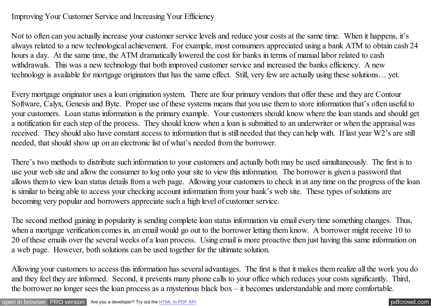## Improving Your Customer Service and Increasing Your Efficiency

Not to often can you actually increase your customer service levels and reduce your costs at the same time. When it happens, it's always related to a new technological achievement. For example, most consumers appreciated using a bank ATM to obtain cash 24 hours a day. At the same time, the ATM dramatically lowered the cost for banks in terms of manual labor related to cash withdrawals. This was a new technology that both improved customer service and increased the banks efficiency. A new technology is available for mortgage originators that has the same effect. Still, very few are actually using these solutions… yet.

Every mortgage originator uses a loan origination system. There are four primary vendors that offer these and they are Contour Software, Calyx, Genesis and Byte. Proper use of these systems means that you use them to store information that's often useful to your customers. Loan status information is the primary example. Your customers should know where the loan stands and should get a notification for each step of the process. They should know when a loan is submitted to an underwriter or when the appraisal was received. They should also have constant access to information that is still needed that they can help with. If last year W2's are still needed, that should show up on an electronic list of what's needed from the borrower.

There's two methods to distribute such information to your customers and actually both may be used simultaneously. The first is to use your web site and allow the consumer to log onto your site to view this information. The borrower is given a password that allows them to view loan status details from a web page. Allowing your customers to check in at any time on the progress of the loan is similar to being able to access your checking account information from your bank's web site. These types of solutions are becoming very popular and borrowers appreciate such a high level of customer service.

The second method gaining in popularity is sending complete loan status information via email every time something changes. Thus, when a mortgage verification comes in, an email would go out to the borrower letting them know. A borrower might receive 10 to 20 of these emails over the several weeks of a loan process. Using email is more proactive then just having this same information on a web page. However, both solutions can be used together for the ultimate solution.

Allowing your customers to access this information has several advantages. The first is that it makes them realize all the work you do and they feel they are informed. Second, it prevents many phone calls to your office which reduces your costs significantly. Third, the borrower no longer sees the loan process as a mysterious black box – it becomes understandable and more comfortable.